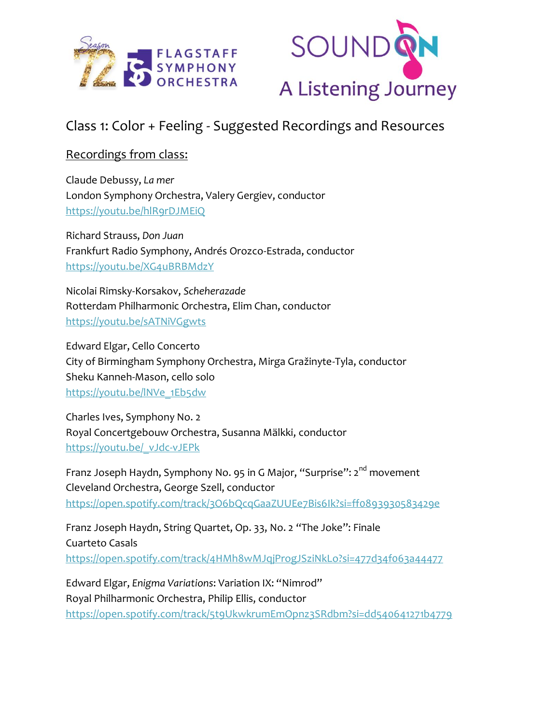



# Class 1: Color + Feeling - Suggested Recordings and Resources

## Recordings from class:

Claude Debussy, *La mer* London Symphony Orchestra, Valery Gergiev, conductor <https://youtu.be/hlR9rDJMEiQ>

Richard Strauss, *Don Juan* Frankfurt Radio Symphony, Andrés Orozco-Estrada, conductor <https://youtu.be/XG4uBRBMdzY>

Nicolai Rimsky-Korsakov, *Scheherazade* Rotterdam Philharmonic Orchestra, Elim Chan, conductor <https://youtu.be/sATNiVGgwts>

Edward Elgar, Cello Concerto City of Birmingham Symphony Orchestra, Mirga Gražinyte-Tyla, conductor Sheku Kanneh-Mason, cello solo [https://youtu.be/lNVe\\_1Eb5dw](https://youtu.be/lNVe_1Eb5dw)

Charles Ives, Symphony No. 2 Royal Concertgebouw Orchestra, Susanna Mälkki, conductor [https://youtu.be/\\_vJdc-vJEPk](https://youtu.be/_vJdc-vJEPk)

Franz Joseph Haydn, Symphony No. 95 in G Major, "Surprise": 2<sup>nd</sup> movement Cleveland Orchestra, George Szell, conductor <https://open.spotify.com/track/3O6bQcqGaaZUUEe7Bis6Ik?si=ff0893930583429e>

Franz Joseph Haydn, String Quartet, Op. 33, No. 2 "The Joke": Finale Cuarteto Casals <https://open.spotify.com/track/4HMh8wMJqjProgJSziNkLo?si=477d34f063a44477>

Edward Elgar, *Enigma Variations*: Variation IX: "Nimrod" Royal Philharmonic Orchestra, Philip Ellis, conductor <https://open.spotify.com/track/5t9UkwkrumEmOpnz3SRdbm?si=dd540641271b4779>